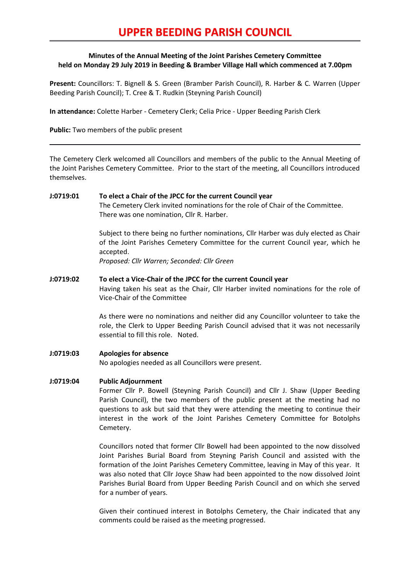# **UPPER BEEDING PARISH COUNCIL**

# **Minutes of the Annual Meeting of the Joint Parishes Cemetery Committee held on Monday 29 July 2019 in Beeding & Bramber Village Hall which commenced at 7.00pm**

**Present:** Councillors: T. Bignell & S. Green (Bramber Parish Council), R. Harber & C. Warren (Upper Beeding Parish Council); T. Cree & T. Rudkin (Steyning Parish Council)

**In attendance:** Colette Harber - Cemetery Clerk; Celia Price - Upper Beeding Parish Clerk

**Public:** Two members of the public present

The Cemetery Clerk welcomed all Councillors and members of the public to the Annual Meeting of the Joint Parishes Cemetery Committee. Prior to the start of the meeting, all Councillors introduced themselves.

### **J:0719:01 To elect a Chair of the JPCC for the current Council year**

The Cemetery Clerk invited nominations for the role of Chair of the Committee. There was one nomination, Cllr R. Harber.

Subject to there being no further nominations, Cllr Harber was duly elected as Chair of the Joint Parishes Cemetery Committee for the current Council year, which he accepted.

*Proposed: Cllr Warren; Seconded: Cllr Green*

# **J:0719:02 To elect a Vice-Chair of the JPCC for the current Council year** Having taken his seat as the Chair, Cllr Harber invited nominations for the role of Vice-Chair of the Committee

As there were no nominations and neither did any Councillor volunteer to take the role, the Clerk to Upper Beeding Parish Council advised that it was not necessarily essential to fill this role. Noted.

**J:0719:03 Apologies for absence** No apologies needed as all Councillors were present.

# **J:0719:04 Public Adjournment**

Former Cllr P. Bowell (Steyning Parish Council) and Cllr J. Shaw (Upper Beeding Parish Council), the two members of the public present at the meeting had no questions to ask but said that they were attending the meeting to continue their interest in the work of the Joint Parishes Cemetery Committee for Botolphs Cemetery.

Councillors noted that former Cllr Bowell had been appointed to the now dissolved Joint Parishes Burial Board from Steyning Parish Council and assisted with the formation of the Joint Parishes Cemetery Committee, leaving in May of this year. It was also noted that Cllr Joyce Shaw had been appointed to the now dissolved Joint Parishes Burial Board from Upper Beeding Parish Council and on which she served for a number of years.

Given their continued interest in Botolphs Cemetery, the Chair indicated that any comments could be raised as the meeting progressed.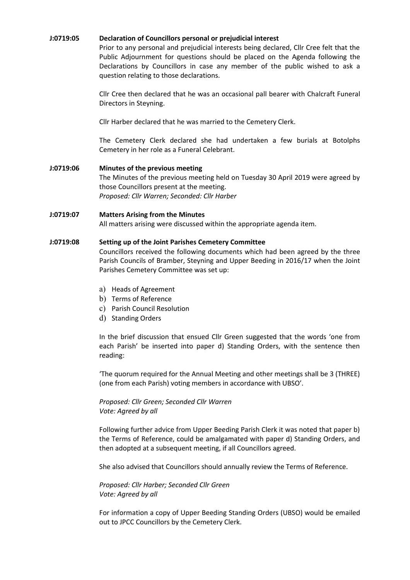#### **J:0719:05 Declaration of Councillors personal or prejudicial interest**

Prior to any personal and prejudicial interests being declared, Cllr Cree felt that the Public Adjournment for questions should be placed on the Agenda following the Declarations by Councillors in case any member of the public wished to ask a question relating to those declarations.

Cllr Cree then declared that he was an occasional pall bearer with Chalcraft Funeral Directors in Steyning.

Cllr Harber declared that he was married to the Cemetery Clerk.

The Cemetery Clerk declared she had undertaken a few burials at Botolphs Cemetery in her role as a Funeral Celebrant.

# **J:0719:06 Minutes of the previous meeting**

The Minutes of the previous meeting held on Tuesday 30 April 2019 were agreed by those Councillors present at the meeting. *Proposed: Cllr Warren; Seconded: Cllr Harber*

# **J:0719:07 Matters Arising from the Minutes**

All matters arising were discussed within the appropriate agenda item.

#### **J:0719:08 Setting up of the Joint Parishes Cemetery Committee**

Councillors received the following documents which had been agreed by the three Parish Councils of Bramber, Steyning and Upper Beeding in 2016/17 when the Joint Parishes Cemetery Committee was set up:

- a) Heads of Agreement
- b) Terms of Reference
- c) Parish Council Resolution
- d) Standing Orders

In the brief discussion that ensued Cllr Green suggested that the words 'one from each Parish' be inserted into paper d) Standing Orders, with the sentence then reading:

'The quorum required for the Annual Meeting and other meetings shall be 3 (THREE) (one from each Parish) voting members in accordance with UBSO'.

# *Proposed: Cllr Green; Seconded Cllr Warren Vote: Agreed by all*

Following further advice from Upper Beeding Parish Clerk it was noted that paper b) the Terms of Reference, could be amalgamated with paper d) Standing Orders, and then adopted at a subsequent meeting, if all Councillors agreed.

She also advised that Councillors should annually review the Terms of Reference.

*Proposed: Cllr Harber; Seconded Cllr Green Vote: Agreed by all*

For information a copy of Upper Beeding Standing Orders (UBSO) would be emailed out to JPCC Councillors by the Cemetery Clerk.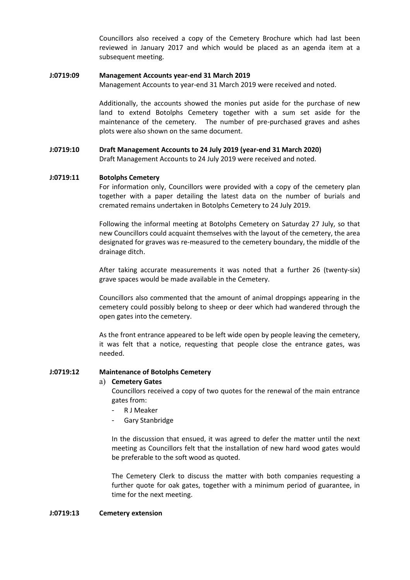Councillors also received a copy of the Cemetery Brochure which had last been reviewed in January 2017 and which would be placed as an agenda item at a subsequent meeting.

#### **J:0719:09 Management Accounts year-end 31 March 2019**

Management Accounts to year-end 31 March 2019 were received and noted.

Additionally, the accounts showed the monies put aside for the purchase of new land to extend Botolphs Cemetery together with a sum set aside for the maintenance of the cemetery. The number of pre-purchased graves and ashes plots were also shown on the same document.

# **J:0719:10 Draft Management Accounts to 24 July 2019 (year-end 31 March 2020)**

Draft Management Accounts to 24 July 2019 were received and noted.

#### **J:0719:11 Botolphs Cemetery**

For information only, Councillors were provided with a copy of the cemetery plan together with a paper detailing the latest data on the number of burials and cremated remains undertaken in Botolphs Cemetery to 24 July 2019.

Following the informal meeting at Botolphs Cemetery on Saturday 27 July, so that new Councillors could acquaint themselves with the layout of the cemetery, the area designated for graves was re-measured to the cemetery boundary, the middle of the drainage ditch.

After taking accurate measurements it was noted that a further 26 (twenty-six) grave spaces would be made available in the Cemetery.

Councillors also commented that the amount of animal droppings appearing in the cemetery could possibly belong to sheep or deer which had wandered through the open gates into the cemetery.

As the front entrance appeared to be left wide open by people leaving the cemetery, it was felt that a notice, requesting that people close the entrance gates, was needed.

#### **J:0719:12 Maintenance of Botolphs Cemetery**

#### a) **Cemetery Gates**

Councillors received a copy of two quotes for the renewal of the main entrance gates from:

- R J Meaker
- Gary Stanbridge

In the discussion that ensued, it was agreed to defer the matter until the next meeting as Councillors felt that the installation of new hard wood gates would be preferable to the soft wood as quoted.

The Cemetery Clerk to discuss the matter with both companies requesting a further quote for oak gates, together with a minimum period of guarantee, in time for the next meeting.

#### **J:0719:13 Cemetery extension**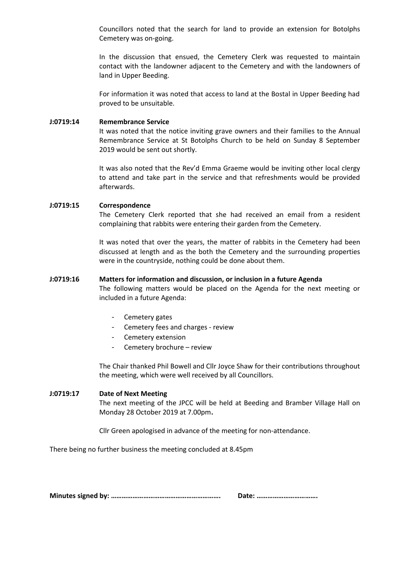Councillors noted that the search for land to provide an extension for Botolphs Cemetery was on-going.

In the discussion that ensued, the Cemetery Clerk was requested to maintain contact with the landowner adjacent to the Cemetery and with the landowners of land in Upper Beeding.

For information it was noted that access to land at the Bostal in Upper Beeding had proved to be unsuitable.

#### **J:0719:14 Remembrance Service**

It was noted that the notice inviting grave owners and their families to the Annual Remembrance Service at St Botolphs Church to be held on Sunday 8 September 2019 would be sent out shortly.

It was also noted that the Rev'd Emma Graeme would be inviting other local clergy to attend and take part in the service and that refreshments would be provided afterwards.

#### **J:0719:15 Correspondence**

The Cemetery Clerk reported that she had received an email from a resident complaining that rabbits were entering their garden from the Cemetery.

It was noted that over the years, the matter of rabbits in the Cemetery had been discussed at length and as the both the Cemetery and the surrounding properties were in the countryside, nothing could be done about them.

#### **J:0719:16 Matters for information and discussion, or inclusion in a future Agenda**

The following matters would be placed on the Agenda for the next meeting or included in a future Agenda:

- Cemetery gates
- Cemetery fees and charges review
- Cemetery extension
- Cemetery brochure review

The Chair thanked Phil Bowell and Cllr Joyce Shaw for their contributions throughout the meeting, which were well received by all Councillors.

#### **J:0719:17 Date of Next Meeting**

The next meeting of the JPCC will be held at Beeding and Bramber Village Hall on Monday 28 October 2019 at 7.00pm**.**

Cllr Green apologised in advance of the meeting for non-attendance.

There being no further business the meeting concluded at 8.45pm

**Minutes signed by: ……………………………………………………. Date: …………………………….**